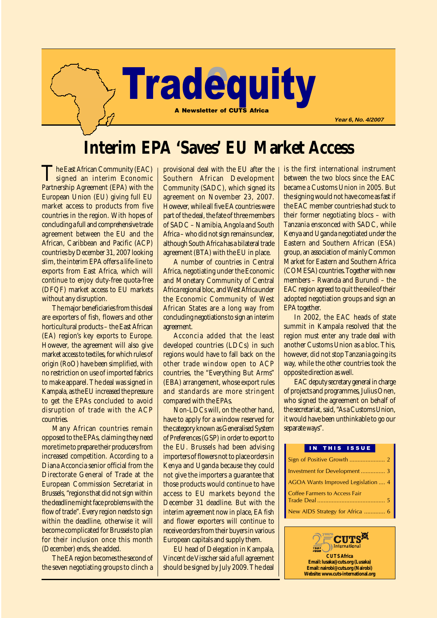

# **Interim EPA 'Saves' EU Market Access**

The East African Community (EAC)<br>signed an interim Economic Partnership Agreement (EPA) with the European Union (EU) giving full EU market access to products from five countries in the region. With hopes of concluding a full and comprehensive trade agreement between the EU and the African, Caribbean and Pacific (ACP) countries by December 31, 2007 looking slim, the interim EPA offers a life-line to exports from East Africa, which will continue to enjoy duty-free quota-free (DFQF) market access to EU markets without any disruption.

The major beneficiaries from this deal are exporters of fish, flowers and other horticultural products – the East African (EA) region's key exports to Europe. However, the agreement will also give market access to textiles, for which rules of origin (RoO) have been simplified, with no restriction on use of imported fabrics to make apparel. The deal was signed in Kampala, as the EU increased the pressure to get the EPAs concluded to avoid disruption of trade with the ACP countries.

Many African countries remain opposed to the EPAs, claiming they need more time to prepare their producers from increased competition. According to a Diana Acconcia senior official from the Directorate General of Trade at the European Commission Secretariat in Brussels, "regions that did not sign within the deadline might face problems with the flow of trade". Every region needs to sign within the deadline, otherwise it will become complicated for Brussels to plan for their inclusion once this month (December) ends, she added.

The EA region becomes the second of the seven negotiating groups to clinch a

provisional deal with the EU after the Southern African Development Community (SADC), which signed its agreement on November 23, 2007. However, while all five EA countries were part of the deal, the fate of three members of SADC – Namibia, Angola and South Africa – who did not sign remains unclear, although South Africa has a bilateral trade agreement (BTA) with the EU in place.

A number of countries in Central Africa, negotiating under the Economic and Monetary Community of Central Africa regional bloc, and West Africa under the Economic Community of West African States are a long way from concluding negotiations to sign an interim agreement.

Acconcia added that the least developed countries (LDCs) in such regions would have to fall back on the other trade window open to ACP countries, the "Everything But Arms" (EBA) arrangement, whose export rules and standards are more stringent compared with the EPAs.

Non-LDCs will, on the other hand, have to apply for a window reserved for the category known as Generalised System of Preferences (GSP) in order to export to the EU. Brussels had been advising importers of flowers not to place orders in Kenya and Uganda because they could not give the importers a guarantee that those products would continue to have access to EU markets beyond the December 31 deadline. But with the interim agreement now in place, EA fish and flower exporters will continue to receive orders from their buyers in various European capitals and supply them.

EU head of Delegation in Kampala, Vincent de Visscher said a full agreement should be signed by July 2009. The deal is the first international instrument between the two blocs since the EAC became a Customs Union in 2005. But the signing would not have come as fast if the EAC member countries had stuck to their former negotiating blocs – with Tanzania ensconced with SADC, while Kenya and Uganda negotiated under the Eastern and Southern African (ESA) group, an association of mainly Common Market for Eastern and Southern Africa (COMESA) countries. Together with new members – Rwanda and Burundi – the EAC region agreed to quit the exile of their adopted negotiation groups and sign an EPA together.

In 2002, the EAC heads of state summit in Kampala resolved that the region must enter any trade deal with another Customs Union as a bloc. This, however, did not stop Tanzania going its way, while the other countries took the opposite direction as well.

EAC deputy secretary general in charge of projects and programmes, Julius Onen, who signed the agreement on behalf of the secretariat, said, "As a Customs Union, it would have been unthinkable to go our separate ways".

#### IN THIS ISSUE

| Investment for Development 3       |
|------------------------------------|
| AGOA Wants Improved Legislation  4 |
| Coffee Farmers to Access Fair      |
| New AIDS Strategy for Africa  6    |

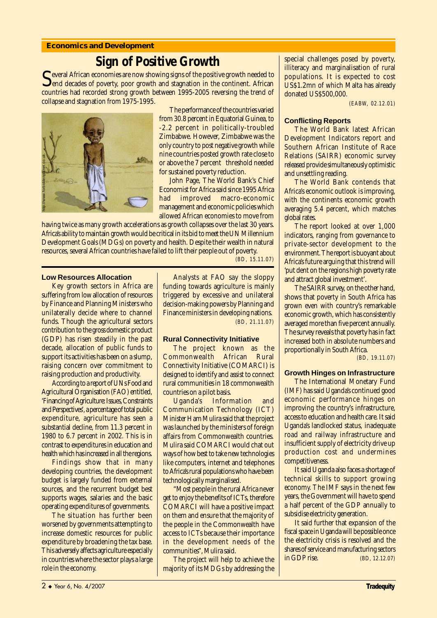#### **Economics and Development**

## **Sign of Positive Growth**

Several African economies are now showing signs of the positive growth needed to<br>end decades of poverty, poor growth and stagnation in the continent. African<br>entries had accorded strength potential between 1005,0005 numeri countries had recorded strong growth between 1995-2005 reversing the trend of collapse and stagnation from 1975-1995.



The performance of the countries varied from 30.8 percent in Equatorial Guinea, to -2.2 percent in politically-troubled Zimbabwe. However, Zimbabwe was the only country to post negative growth while nine countries posted growth rate close to or above the 7 percent threshold needed for sustained poverty reduction.

John Page, The World Bank's Chief Economist for Africa said since 1995 Africa had improved macro-economic management and economic policies which allowed African economies to move from

having twice as many growth accelerations as growth collapses over the last 30 years. Africa's ability to maintain growth would be critical in its bid to meet the UN Millennium Development Goals (MDGs) on poverty and health. Despite their wealth in natural resources, several African countries have failed to lift their people out of poverty.

*(BD, 15.11.07)*

#### **Low Resources Allocation**

Key growth sectors in Africa are suffering from low allocation of resources by Finance and Planning Ministers who unilaterally decide where to channel funds. Though the agricultural sectors contribution to the gross domestic product (GDP) has risen steadily in the past decade, allocation of public funds to support its activities has been on a slump, raising concern over commitment to raising production and productivity.

According to a report of UNs Food and Agricultural Organisation (FAO) entitled, 'Financing of Agriculture: Issues, Constraints and Perspectives', a percentage of total public expenditure, agriculture has seen a substantial decline, from 11.3 percent in 1980 to 6.7 percent in 2002. This is in contrast to expenditures in education and health which has increased in all the regions.

Findings show that in many developing countries, the development budget is largely funded from external sources, and the recurrent budget best supports wages, salaries and the basic operating expenditures of governments.

The situation has further been worsened by governments attempting to increase domestic resources for public expenditure by broadening the tax base. This adversely affects agriculture especially in countries where the sector plays a large role in the economy.

Analysts at FAO say the sloppy funding towards agriculture is mainly triggered by excessive and unilateral decision-making powers by Planning and Finance ministers in developing nations. *(BD, 21.11.07)*

#### **Rural Connectivity Initiative**

The project known as the Commonwealth African Rural Connectivity Initiative (COMARCI) is designed to identify and assist to connect rural communities in 18 commonwealth countries on a pilot basis.

Uganda's Information and Communication Technology (ICT) Minister Ham Mulira said that the project was launched by the ministers of foreign affairs from Commonwealth countries. Mulira said COMARCI would chat out ways of how best to take new technologies like computers, internet and telephones to Africa's rural populations who have been technologically marginalised.

"Most people in the rural Africa never get to enjoy the benefits of ICTs, therefore COMARCI will have a positive impact on them and ensure that the majority of the people in the Commonwealth have access to ICTs because their importance in the development needs of the communities", Mulira said.

The project will help to achieve the majority of its MDGs by addressing the special challenges posed by poverty, illiteracy and marginalisation of rural populations. It is expected to cost US\$1.2mn of which Malta has already donated US\$500,000.

*(EABW, 02.12.01)*

#### **Conflicting Reports**

The World Bank latest African Development Indicators report and Southern African Institute of Race Relations (SAIRR) economic survey released provide simultaneously optimistic and unsettling reading.

The World Bank contends that Africa's economic outlook is improving, with the continents economic growth averaging 5.4 percent, which matches global rates.

The report looked at over 1,000 indicators, ranging from governance to private-sector development to the environment. The report is buoyant about Africa's future arguing that this trend will 'put dent on the regions high poverty rate and attract global investment'.

The SAIRR survey, on the other hand, shows that poverty in South Africa has grown even with country's remarkable economic growth, which has consistently averaged more than five percent annually. The survey reveals that poverty has in fact increased both in absolute numbers and proportionally in South Africa.

*(BD, 19.11.07)*

#### **Growth Hinges on Infrastructure**

The International Monetary Fund (IMF) has said Uganda's continued good economic performance hinges on improving the country's infrastructure, access to education and health care. It said Uganda's landlocked status, inadequate road and railway infrastructure and insufficient supply of electricity drive up production cost and undermines competitiveness.

It said Uganda also faces a shortage of technical skills to support growing economy. The IMF says in the next few years, the Government will have to spend a half percent of the GDP annually to subsidise electricity generation.

It said further that expansion of the fiscal space in Uganda will be possible once the electricity crisis is resolved and the shares of service and manufacturing sectors in GDP rise. *(BD, 12.12.07)*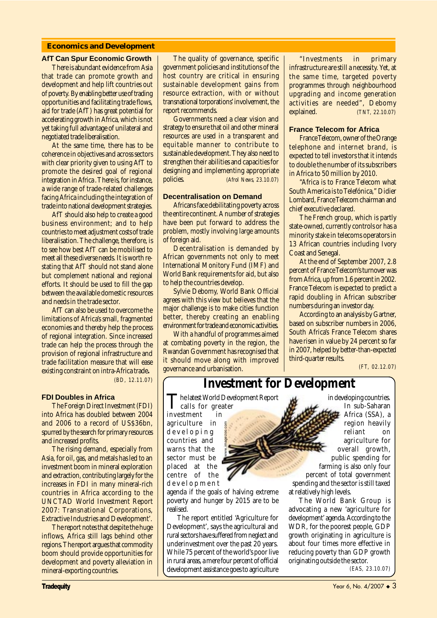#### **Economics and Development**

#### **AfT Can Spur Economic Growth**

There is abundant evidence from Asia that trade can promote growth and development and help lift countries out of poverty. By enabling better use of trading opportunities and facilitating trade flows, aid for trade (AfT) has great potential for accelerating growth in Africa, which is not yet taking full advantage of unilateral and negotiated trade liberalisation.

At the same time, there has to be coherence in objectives and across sectors with clear priority given to using AfT to promote the desired goal of regional integration in Africa . There is, for instance, a wide range of trade-related challenges facing Africa including the integration of trade into national development strategies.

AfT should also help to create a good business environment; and to help countries to meet adjustment costs of trade liberalisation. The challenge, therefore, is to see how best AfT can be mobilised to meet all these diverse needs. It is worth restating that AfT should not stand alone but complement national and regional efforts. It should be used to fill the gap between the available domestic resources and needs in the trade sector.

AfT can also be used to overcome the limitations of Africa's small, fragmented economies and thereby help the process of regional integration. Since increased trade can help the process through the provision of regional infrastructure and trade facilitation measure that will ease existing constraint on intra-Africa trade**.** *(BD, 12.11.07)*

#### **FDI Doubles in Africa**

The Foreign Direct Investment (FDI) into Africa has doubled between 2004 and 2006 to a record of US\$36bn, spurred by the search for primary resources and increased profits.

The rising demand, especially from Asia, for oil, gas, and metals has led to an investment boom in mineral exploration and extraction, contributing largely for the increases in FDI in many mineral-rich countries in Africa according to the UNCTAD World Investment Report 2007: Transnational Corporations, Extractive Industries and Development'.

The report notes that despite the huge inflows, Africa still lags behind other regions. The report argues that commodity boom should provide opportunities for development and poverty alleviation in mineral-exporting countries.

The quality of governance, specific government policies and institutions of the host country are critical in ensuring sustainable development gains from resource extraction, with or without transnational torporations' involvement, the report recommends.

Governments need a clear vision and strategy to ensure that oil and other mineral resources are used in a transparent and equitable manner to contribute to sustainable development. They also need to strengthen their abilities and capacities for designing and implementing appropriate policies. *(Afrol News, 23.10.07)*

#### **Decentralisation on Demand**

Africans face debilitating poverty across the entire continent. A number of strategies have been put forward to address the problem, mostly involving large amounts of foreign aid.

Decentralisation is demanded by African governments not only to meet International Monitory Fund (IMF) and World Bank requirements for aid, but also to help the countries develop.

Sylvie Debomy, World Bank Official agrees with this view but believes that the major challenge is to make cities function better, thereby creating an enabling environment for trade and economic activities.

With a handful of programmes aimed at combating poverty in the region, the Rwandan Government has recognised that it should move along with improved governance and urbanisation.

"Investments in primary infrastructure are still a necessity. Yet, at the same time, targeted poverty programmes through neighbourhood upgrading and income generation activities are needed", Debomy explained. *(TNT, 22.10.07)*

#### **France Telecom for Africa**

France Telecom, owner of the Orange telephone and internet brand, is expected to tell investors that it intends to double the number of its subscribers in Africa to 50 million by 2010.

"Africa is to France Telecom what South America is to Telefónica," Didier Lombard, France Telecom chairman and chief executive declared.

The French group, which is partly state-owned, currently controls or has a minority stake in telecoms operators in 13 African countries including Ivory Coast and Senegal.

At the end of September 2007, 2.8 percent of France Telecom's turnover was from Africa, up from 1.6 percent in 2002. France Telecom is expected to predict a rapid doubling in African subscriber numbers during an investor day.

According to an analysis by Gartner, based on subscriber numbers in 2006, South Africa's France Telecom shares have risen in value by 24 percent so far in 2007, helped by better-than-expected third-quarter results.

*(FT, 02.12.07)*

### **Investment for Development**

The latest World Development Report<br>calls for greater<br>investment

www.imagezoo.com

investment in agriculture in developing countries and warns that the sector must be placed at the centre of the development

agenda if the goals of halving extreme poverty and hunger by 2015 are to be realised.

The report entitled 'Agriculture for Development', says the agricultural and rural sectors have suffered from neglect and underinvestment over the past 20 years. While 75 percent of the world's poor live in rural areas, a mere four percent of official development assistance goes to agriculture

in developing countries. In sub-Saharan Africa (SSA), a region heavily reliant on agriculture for overall growth, public spending for farming is also only four percent of total government spending and the sector is still taxed at relatively high levels.

The World Bank Group is advocating a new 'agriculture for development' agenda. According to the WDR, for the poorest people, GDP growth originating in agriculture is about four times more effective in reducing poverty than GDP growth originating outside the sector.

*(EAS, 23.10.07)*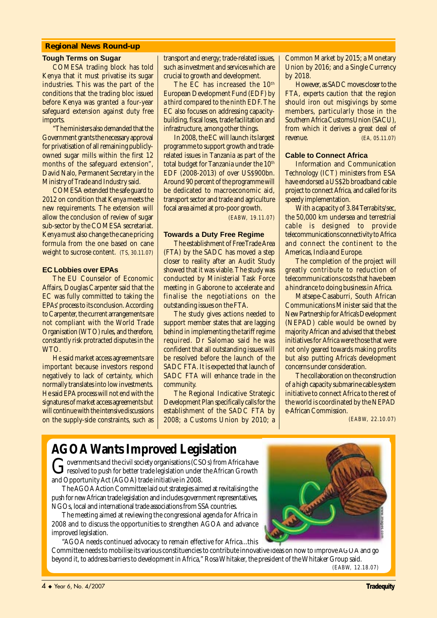#### **Regional News Round-up**

#### **Tough Terms on Sugar**

COMESA trading block has told Kenya that it must privatise its sugar industries. This was the part of the conditions that the trading bloc issued before Kenya was granted a four-year safeguard extension against duty free imports.

"The ministers also demanded that the Government grants the necessary approval for privatisation of all remaining publiclyowned sugar mills within the first 12 months of the safeguard extension", David Nalo, Permanent Secretary in the Ministry of Trade and Industry said.

COMESA extended the safe guard to 2012 on condition that Kenya meets the new requirements. The extension will allow the conclusion of review of sugar sub-sector by the COMESA secretariat. Kenya must also change the cane pricing formula from the one based on cane weight to sucrose content*. (TS, 30.11.07)*

#### **EC Lobbies over EPAs**

The EU Counselor of Economic Affairs, Douglas Carpenter said that the EC was fully committed to taking the EPAs' process to its conclusion. According to Carpenter, the current arrangements are not compliant with the World Trade Organisation (WTO) rules, and therefore, constantly risk protracted disputes in the WTO.

He said market access agreements are important because investors respond negatively to lack of certainty, which normally translates into low investments. He said EPA process will not end with the signatures of market access agreements but will continue with the intensive discussions on the supply-side constraints, such as transport and energy; trade-related issues, such as investment and services which are crucial to growth and development.

The EC has increased the 10<sup>th</sup> European Development Fund (EDF) by a third compared to the ninth EDF. The EC also focuses on addressing capacitybuilding, fiscal loses, trade facilitation and infrastructure, among other things.

In 2008, the EC will launch its largest programme to support growth and traderelated issues in Tanzania as part of the total budget for Tanzania under the 10<sup>th</sup> EDF (2008-2013) of over US\$900bn. Around 90 percent of the programme will be dedicated to macroeconomic aid, transport sector and trade and agriculture focal area aimed at pro-poor growth.

*(EABW, 19.11.07)*

#### **Towards a Duty Free Regime**

The establishment of Free Trade Area (FTA) by the SADC has moved a step closer to reality after an Audit Study showed that it was viable. The study was conducted by Ministerial Task Force meeting in Gaborone to accelerate and finalise the negotiations on the outstanding issues on the FTA.

The study gives actions needed to support member states that are lagging behind in implementing the tariff regime required. Dr Salomao said he was confident that all outstanding issues will be resolved before the launch of the SADC FTA. It is expected that launch of SADC FTA will enhance trade in the community.

The Regional Indicative Strategic Development Plan specifically calls for the establishment of the SADC FTA by 2008; a Customs Union by 2010; a Common Market by 2015; a Monetary Union by 2016; and a Single Currency by 2018.

However, as SADC moves closer to the FTA, experts caution that the region should iron out misgivings by some members, particularly those in the Southern Africa Customs Union (SACU), from which it derives a great deal of revenue. *(EA, 05.11.07)*

#### **Cable to Connect Africa**

Information and Communication Technology (ICT) ministers from ESA have endorsed a US\$2b broadband cable project to connect Africa, and called for its speedy implementation.

With a capacity of 3.84 Terrabits/sec, the 50,000 km undersea and terrestrial cable is designed to provide telecommunications connectivity to Africa and connect the continent to the Americas, India and Europe.

The completion of the project will greatly contribute to reduction of telecommunications costs that have been a hindrance to doing business in Africa.

Matsepe-Casaburri, South African Communications Minister said that the New Partnership for Africa's Development (NEPAD) cable would be owned by majority African and advised that the best initiatives for Africa were those that were not only geared towards making profits but also putting Africa's development concerns under consideration.

The collaboration on the construction of a high capacity submarine cable system initiative to connect Africa to the rest of the world is coordinated by the NEPAD e-African Commission.

*(EABW, 22.10.07)*

## **AGOA Wants Improved Legislation**

Governments and the civil society organisations (CSOs) from Africa have<br>resolved to push for better trade legislation under the African Growth and Opportunity Act (AGOA) trade initiative in 2008.

The AGOA Action Committee laid out strategies aimed at revitalising the push for new African trade legislation and includes government representatives, NGOs, local and international trade associations from SSA countries.

The meeting aimed at reviewing the congressional agenda for Africa in 2008 and to discuss the opportunities to strengthen AGOA and advance improved legislation.

"AGOA needs continued advocacy to remain effective for Africa...this

Committee needs to mobilise its various constituencies to contribute innovative ideas on how to improve AGOA and go beyond it, to address barriers to development in Africa," Rosa Whitaker, the president of the Whitaker Group said. *(EABW, 12.18.07)*

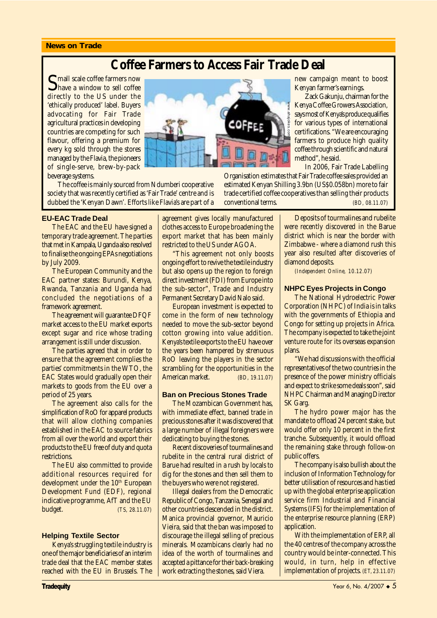#### **News on Trade**

### **Coffee Farmers to Access Fair Trade Deal**

**S** mall scale coffee farmers now<br>have a window to sell coffee directly to the US under the 'ethically produced' label. Buyers advocating for Fair Trade agricultural practices in developing countries are competing for such flavour, offering a premium for every kg sold through the stores managed by the Flavia, the pioneers of single-serve, brew-by-pack beverage systems.



The coffee is mainly sourced from Ndumberi cooperative society that was recently certified as 'Fair Trade' centre and is dubbed the 'Kenyan Dawn'. Efforts like Flavia's are part of a

#### **EU-EAC Trade Deal**

The EAC and the EU have signed a temporary trade agreement. The parties that met in Kampala, Uganda also resolved to finalise the ongoing EPAs negotiations by July 2009.

The European Community and the EAC partner states: Burundi, Kenya, Rwanda, Tanzania and Uganda had concluded the negotiations of a framework agreement.

The agreement will guarantee DFQF market access to the EU market exports except sugar and rice whose trading arrangement is still under discussion.

The parties agreed that in order to ensure that the agreement complies the parties' commitments in the WTO, the EAC States would gradually open their markets to goods from the EU over a period of 25 years.

The agreement also calls for the simplification of RoO for apparel products that will allow clothing companies established in the EAC to source fabrics from all over the world and export their products to the EU free of duty and quota restrictions.

The EU also committed to provide additional resources required for development under the 10<sup>th</sup> European Development Fund (EDF), regional indicative programme, AfT and the EU budget. *(TS, 28.11.07)*

#### **Helping Textile Sector**

Kenya's struggling textile industry is one of the major beneficiaries of an interim trade deal that the EAC member states reached with the EU in Brussels. The agreement gives locally manufactured clothes access to Europe broadening the export market that has been mainly restricted to the US under AGOA.

"This agreement not only boosts ongoing effort to revive the textile industry but also opens up the region to foreign direct investment (FDI) from Europe into the sub-sector", Trade and Industry Permanent Secretary David Nalo said.

European investment is expected to come in the form of new technology needed to move the sub-sector beyond cotton growing into value addition. Kenya's textile exports to the EU have over the years been hampered by strenuous RoO leaving the players in the sector scrambling for the opportunities in the<br>American market. (*BD, 19.11.07*) American market. *(BD, 19.11.07)*

#### **Ban on Precious Stones Trade**

The Mozambican Government has, with immediate effect, banned trade in precious stones after it was discovered that a large number of illegal foreigners were dedicating to buying the stones.

Recent discoveries of tourmalines and rubelite in the central rural district of Barue had resulted in a rush by locals to dig for the stones and then sell them to the buyers who were not registered.

Illegal dealers from the Democratic Republic of Congo, Tanzania, Senegal and other countries descended in the district. Manica provincial governor, Mauricio Vieira, said that the ban was imposed to discourage the illegal selling of precious minerals. Mozambicans clearly had no idea of the worth of tourmalines and accepted a pittance for their back-breaking work extracting the stones, said Viera.

new campaign meant to boost Kenyan farmer's earnings.

Zack Gakunju, chairman for the Kenya Coffee Growers Association, says most of Kenya's produce qualifies for various types of international certifications. "We are encouraging farmers to produce high quality coffee through scientific and natural method", he said. Kenya Coffee Growers Association,<br>
says most of Kenya's produce qualifies<br>
for various types of international<br>
ertifications. "We are encouraging<br>
farmers to produce high quality<br>
coffee through scientific and natural<br>
met

In 2006, Fair Trade Labelling Organisation estimates that Fair Trade coffee sales provided an

estimated Kenyan Shilling 3.9bn (US\$0.058bn) more to fair trade certified coffee cooperatives than selling their products

> Deposits of tourmalines and rubelite were recently discovered in the Barue district which is near the border with Zimbabwe - where a diamond rush this year also resulted after discoveries of diamond deposits.

*(Independent Online, 10.12.07)*

#### **NHPC Eyes Projects in Congo**

The National Hydroelectric Power Corporation (NHPC) of India is in talks with the governments of Ethiopia and Congo for setting up projects in Africa. The company is expected to take the joint venture route for its overseas expansion plans.

"We had discussions with the official representatives of the two countries in the presence of the power ministry officials and expect to strike some deals soon", said NHPC Chairman and Managing Director SK Garg.

The hydro power major has the mandate to offload 24 percent stake, but would offer only 10 percent in the first tranche. Subsequently, it would offload the remaining stake through follow-on public offers.

The company is also bullish about the inclusion of Information Technology for better utilisation of resources and has tied up with the global enterprise application service firm Industrial and Financial Systems (IFS) for the implementation of the enterprise resource planning (ERP) application.

With the implementation of ERP, all the 40 centres of the company across the country would be inter-connected. This would, in turn, help in effective implementation of projects. *(ET, 23.11.07)*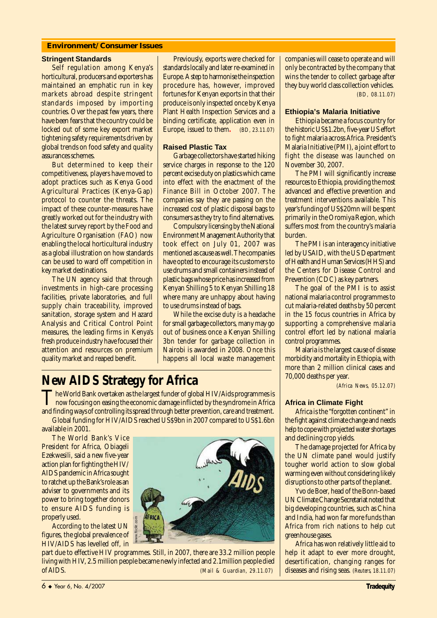#### **Environment/Consumer Issues**

#### **Stringent Standards**

Self regulation among Kenya's horticultural, producers and exporters has maintained an emphatic run in key markets abroad despite stringent standards imposed by importing countries. Over the past few years, there have been fears that the country could be locked out of some key export market tightening safety requirements driven by global trends on food safety and quality assurances schemes.

But determined to keep their competitiveness, players have moved to adopt practices such as Kenya Good Agricultural Practices (Kenya-Gap) protocol to counter the threats. The impact of these counter-measures have greatly worked out for the industry with the latest survey report by the Food and Agriculture Organisation (FAO) now enabling the local horticultural industry as a global illustration on how standards can be used to ward off competition in key market destinations.

The UN agency said that through investments in high-care processing facilities, private laboratories, and full supply chain traceability, improved sanitation, storage system and Hazard Analysis and Critical Control Point measures, the leading firms in Kenya's fresh produce industry have focused their attention and resources on premium quality market and reaped benefit.

Previously, exports were checked for standards locally and later re-examined in Europe. A step to harmonise the inspection procedure has, however, improved fortunes for Kenyan exports in that their produce is only inspected once by Kenya Plant Health Inspection Services and a binding certificate, application even in Europe, issued to them**.** *(BD, 23.11.07)*

#### **Raised Plastic Tax**

Garbage collectors have started hiking service charges in response to the 120 percent excise duty on plastics which came into effect with the enactment of the Finance Bill in October 2007. The companies say they are passing on the increased cost of plastic disposal bags to consumers as they try to find alternatives.

Compulsory licensing by the National Environment Management Authority that took effect on July 01, 2007 was mentioned as cause as well. The companies have opted to encourage its customers to use drums and small containers instead of plastic bags whose price has increased from Kenyan Shilling 5 to Kenyan Shilling 18 where many are unhappy about having to use drums instead of bags.

While the excise duty is a headache for small garbage collectors, many may go out of business once a Kenyan Shilling 3bn tender for garbage collection in Nairobi is awarded in 2008. Once this happens all local waste management

## **New AIDS Strategy for Africa**

The World Bank overtaken as the largest funder of global HIV/Aids programmes is<br>now focusing on easing the economic damage inflicted by the syndrome in Africa<br>and finding summer focusing its ground thermal between the summ and finding ways of controlling its spread through better prevention, care and treatment.

Global funding for HIV/AIDS reached US\$9bn in 2007 compared to US\$1.6bn available in 2001.

The World Bank's Vice President for Africa, Obiageli Ezekwesili, said a new five-year action plan for fighting the HIV/ AIDS pandemic in Africa sought to ratchet up the Bank's role as an adviser to governments and its power to bring together donors to ensure AIDS funding is properly used.

According to the latest UN figures, the global prevalence of HIV/AIDS has levelled off, in



part due to effective HIV programmes. Still, in 2007, there are 33.2 million people living with HIV, 2.5 million people became newly infected and 2.1million people died properly used.<br>
According to the latest UN<br>
figures, the global prevalence of<br>
HIV/AIDS has levelled off, in<br>
part due to effective HIV programmes. Still, in 2007, there are 33.2 million people<br>
living with HIV, 2.5 millio

companies will cease to operate and will only be contracted by the company that wins the tender to collect garbage after they buy world class collection vehicles*. (BD, 08.11.07)*

#### **Ethiopia's Malaria Initiative**

Ethiopia became a focus country for the historic US\$1.2bn, five-year US effort to fight malaria across Africa. President's Malaria Initiative (PMI), a joint effort to fight the disease was launched on November 30, 2007.

The PMI will significantly increase resources to Ethiopia, providing the most advanced and effective prevention and treatment interventions available. This year's funding of US\$20mn will be spent primarily in the Oromiya Region, which suffers most from the country's malaria burden.

The PMI is an interagency initiative led by USAID, with the US Department of Health and Human Services (HHS) and the Centers for Disease Control and Prevention (CDC) as key partners.

The goal of the PMI is to assist national malaria control programmes to cut malaria-related deaths by 50 percent in the 15 focus countries in Africa by supporting a comprehensive malaria control effort led by national malaria control programmes.

Malaria is the largest cause of disease morbidity and mortality in Ethiopia, with more than 2 million clinical cases and 70,000 deaths per year.

*(Africa News, 05.12.07)*

#### **Africa in Climate Fight**

Africa is the "forgotten continent" in the fight against climate change and needs help to cope with projected water shortages and declining crop yields.

The damage projected for Africa by the UN climate panel would justify tougher world action to slow global warming even without considering likely disruptions to other parts of the planet.

Yvo de Boer, head of the Bonn-based UN Climate Change Secretariat noted that big developing countries, such as China and India, had won far more funds than Africa from rich nations to help cut greenhouse gases.

Africa has won relatively little aid to help it adapt to ever more drought, desertification, changing ranges for diseases and rising seas. *(Reuters, 18.11.07)*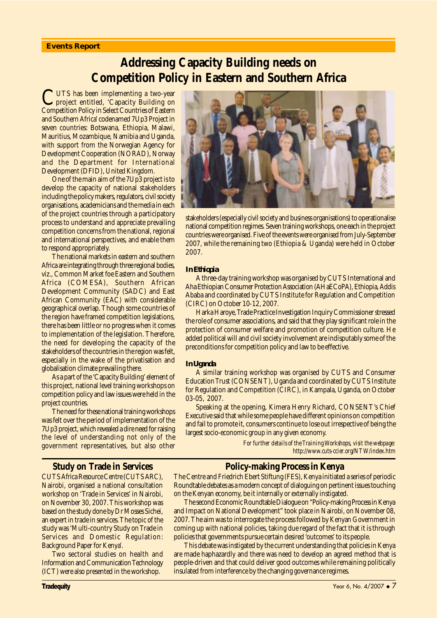#### **Events Report**

### **Addressing Capacity Building needs on Competition Policy in Eastern and Southern Africa**

CUTS has been implementing a two-year project entitled, 'Capacity Building on Competition Policy in Select Countries of Eastern and Southern Africa' codenamed 7Up3 Project in seven countries: Botswana, Ethiopia, Malawi, Mauritius, Mozambique, Namibia and Uganda, with support from the Norwegian Agency for Development Cooperation (NORAD), Norway and the Department for International Development (DFID), United Kingdom.

One of the main aim of the 7Up3 project is to develop the capacity of national stakeholders including the policy makers, regulators, civil society organisations, academicians and the media in each of the project countries through a participatory process to understand and appreciate prevailing competition concerns from the national, regional and international perspectives, and enable them to respond appropriately.

The national markets in eastern and southern Africa are integrating through three regional bodies, viz., Common Market foe Eastern and Southern Africa (COMESA), Southern African Development Community (SADC) and East African Community (EAC) with considerable geographical overlap. Though some countries of the region have framed competition legislations, there has been little or no progress when it comes to implementation of the legislation. Therefore, the need for developing the capacity of the stakeholders of the countries in the region was felt, especially in the wake of the privatisation and globalisation climate prevailing there.

As a part of the 'Capacity Building' element of this project, national level training workshops on competition policy and law issues were held in the project countries.

The need for these national training workshops was felt over the period of implementation of the 7Up3 project, which revealed a dire need for raising the level of understanding not only of the government representatives, but also other



stakeholders (especially civil society and business organisations) to operationalise national competition regimes. Seven training workshops, one each in the project countries were organised. Five of the events were organised from July-September 2007, while the remaining two (Ethiopia & Uganda) were held in October 2007.

#### *In Ethiopia*

A three-day training workshop was organised by CUTS International and Aha Ethiopian Consumer Protection Association (AHaECoPA), Ethiopia, Addis Ababa and coordinated by CUTS Institute for Regulation and Competition (CIRC) on October 10-12, 2007.

Harka Haroye, Trade Practice Investigation Inquiry Commissioner stressed the role of consumer associations, and said that they play significant role in the protection of consumer welfare and promotion of competition culture. He added political will and civil society involvement are indisputably some of the preconditions for competition policy and law to be effective.

#### *In Uganda*

A similar training workshop was organised by CUTS and Consumer Education Trust (CONSENT), Uganda and coordinated by CUTS Institute for Regulation and Competition (CIRC), in Kampala, Uganda, on October 03-05, 2007.

Speaking at the opening, Kimera Henry Richard, CONSENT's Chief Executive said that while some people have different opinions on competition and fail to promote it, consumers continue to lose out irrespective of being the largest socio-economic group in any given economy.

> *For further details of the Training Workshops, visit the webpage: http://www.cuts-ccier.org/NTW/index.htm*

#### **Policy-making Process in Kenya**

The Centre and Friedrich Ebert Stiftung (FES), Kenya initiated a series of periodic Roundtable debates as a modern concept of dialoguing on pertinent issues touching on the Kenyan economy, be it internally or externally instigated.

The second Economic Roundtable Dialogue on "Policy-making Process in Kenya and Impact on National Development" took place in Nairobi, on November 08, 2007. The aim was to interrogate the process followed by Kenyan Government in coming up with national policies, taking due regard of the fact that it is through policies that governments pursue certain desired 'outcomes' to its people.

This debate was instigated by the current understanding that policies in Kenya are made haphazardly and there was need to develop an agreed method that is people-driven and that could deliver good outcomes while remaining politically insulated from interference by the changing governance regimes.

#### **Study on Trade in Services**

CUTS Africa Resource Centre (CUTS ARC), Nairobi, organised a national consultation workshop on 'Trade in Services' in Nairobi, on November 30, 2007. This workshop was based on the study done by Dr Mosses Sichei, an expert in trade in services. The topic of the study was 'Multi-country Study on Trade in Services and Domestic Regulation: Background Paper for Kenya'.

Two sectoral studies on health and Information and Communication Technology (ICT) were also presented in the workshop.